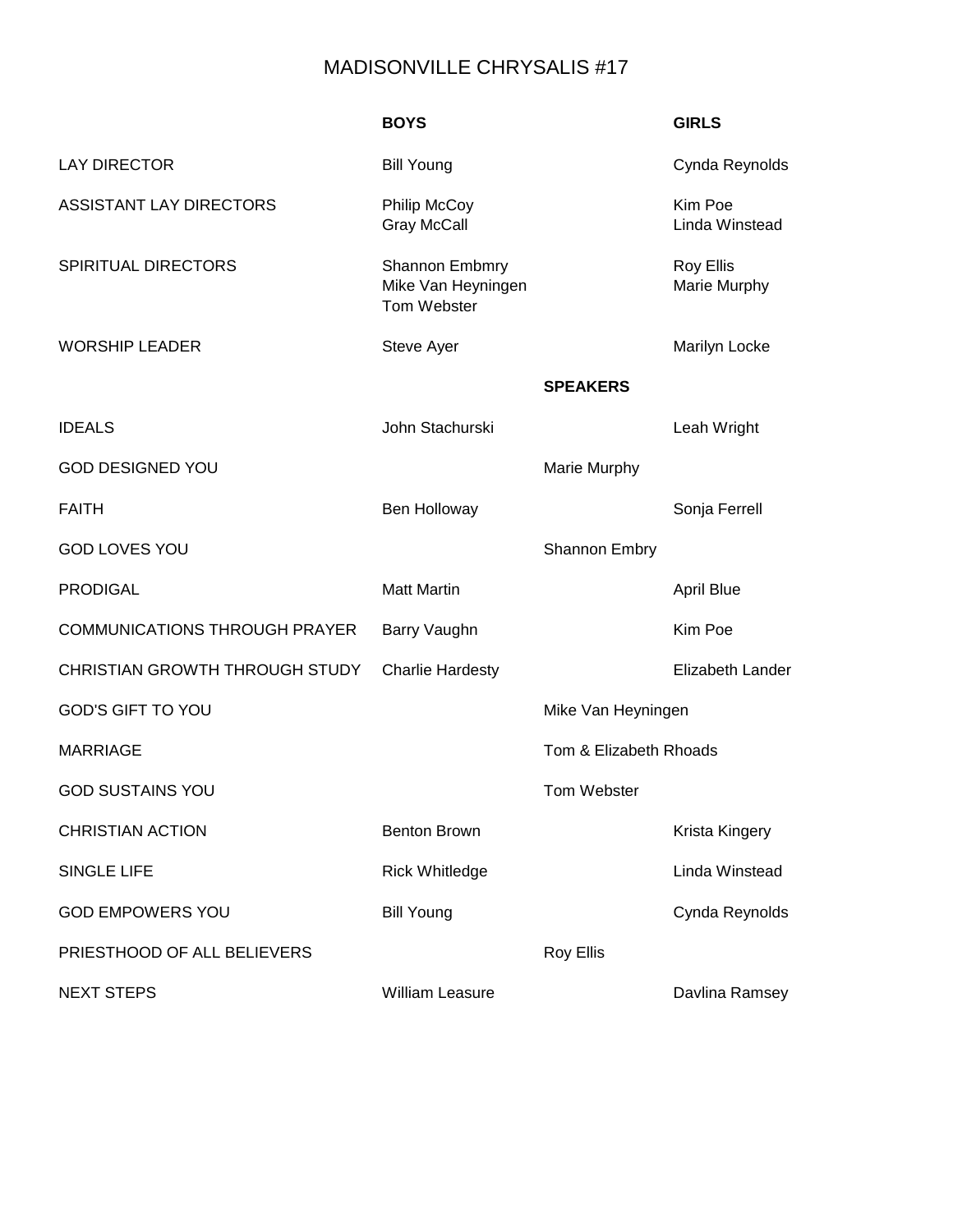## MADISONVILLE CHRYSALIS #17

|                                      | <b>BOYS</b>                                                |                        | <b>GIRLS</b>                     |
|--------------------------------------|------------------------------------------------------------|------------------------|----------------------------------|
| <b>LAY DIRECTOR</b>                  | <b>Bill Young</b>                                          |                        | Cynda Reynolds                   |
| <b>ASSISTANT LAY DIRECTORS</b>       | <b>Philip McCoy</b><br><b>Gray McCall</b>                  |                        | Kim Poe<br>Linda Winstead        |
| <b>SPIRITUAL DIRECTORS</b>           | <b>Shannon Embmry</b><br>Mike Van Heyningen<br>Tom Webster |                        | <b>Roy Ellis</b><br>Marie Murphy |
| <b>WORSHIP LEADER</b>                | Steve Ayer                                                 |                        | Marilyn Locke                    |
|                                      |                                                            | <b>SPEAKERS</b>        |                                  |
| <b>IDEALS</b>                        | John Stachurski                                            |                        | Leah Wright                      |
| <b>GOD DESIGNED YOU</b>              |                                                            | Marie Murphy           |                                  |
| <b>FAITH</b>                         | Ben Holloway                                               |                        | Sonja Ferrell                    |
| <b>GOD LOVES YOU</b>                 |                                                            | Shannon Embry          |                                  |
| <b>PRODIGAL</b>                      | <b>Matt Martin</b>                                         |                        | <b>April Blue</b>                |
| <b>COMMUNICATIONS THROUGH PRAYER</b> | Barry Vaughn                                               |                        | Kim Poe                          |
| CHRISTIAN GROWTH THROUGH STUDY       | <b>Charlie Hardesty</b>                                    |                        | <b>Elizabeth Lander</b>          |
| <b>GOD'S GIFT TO YOU</b>             |                                                            | Mike Van Heyningen     |                                  |
| <b>MARRIAGE</b>                      |                                                            | Tom & Elizabeth Rhoads |                                  |
| <b>GOD SUSTAINS YOU</b>              |                                                            | Tom Webster            |                                  |
| <b>CHRISTIAN ACTION</b>              | <b>Benton Brown</b>                                        |                        | Krista Kingery                   |
| <b>SINGLE LIFE</b>                   | <b>Rick Whitledge</b>                                      |                        | Linda Winstead                   |
| <b>GOD EMPOWERS YOU</b>              | <b>Bill Young</b>                                          |                        | Cynda Reynolds                   |
| PRIESTHOOD OF ALL BELIEVERS          |                                                            | <b>Roy Ellis</b>       |                                  |
| <b>NEXT STEPS</b>                    | <b>William Leasure</b>                                     |                        | Davlina Ramsey                   |